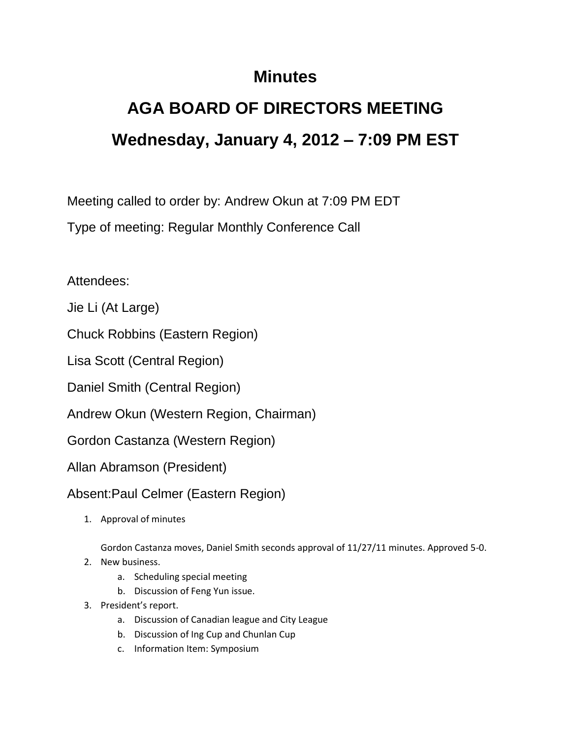## **Minutes**

## **AGA BOARD OF DIRECTORS MEETING Wednesday, January 4, 2012 – 7:09 PM EST**

Meeting called to order by: Andrew Okun at 7:09 PM EDT

Type of meeting: Regular Monthly Conference Call

## Attendees:

Jie Li (At Large)

Chuck Robbins (Eastern Region)

Lisa Scott (Central Region)

Daniel Smith (Central Region)

Andrew Okun (Western Region, Chairman)

Gordon Castanza (Western Region)

Allan Abramson (President)

Absent:Paul Celmer (Eastern Region)

1. Approval of minutes

Gordon Castanza moves, Daniel Smith seconds approval of 11/27/11 minutes. Approved 5-0.

- 2. New business.
	- a. Scheduling special meeting
	- b. Discussion of Feng Yun issue.
- 3. President's report.
	- a. Discussion of Canadian league and City League
	- b. Discussion of Ing Cup and Chunlan Cup
	- c. Information Item: Symposium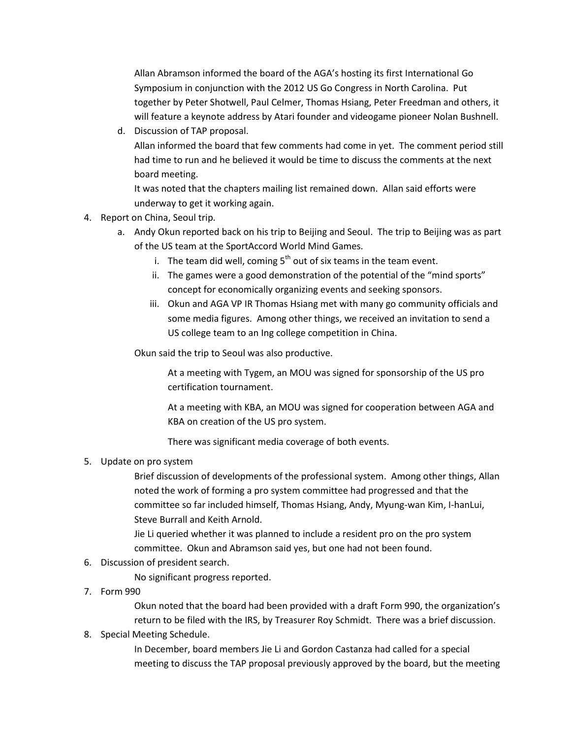Allan Abramson informed the board of the AGA's hosting its first International Go Symposium in conjunction with the 2012 US Go Congress in North Carolina. Put together by Peter Shotwell, Paul Celmer, Thomas Hsiang, Peter Freedman and others, it will feature a keynote address by Atari founder and videogame pioneer Nolan Bushnell.

d. Discussion of TAP proposal.

Allan informed the board that few comments had come in yet. The comment period still had time to run and he believed it would be time to discuss the comments at the next board meeting.

It was noted that the chapters mailing list remained down. Allan said efforts were underway to get it working again.

- 4. Report on China, Seoul trip.
	- a. Andy Okun reported back on his trip to Beijing and Seoul. The trip to Beijing was as part of the US team at the SportAccord World Mind Games.
		- i. The team did well, coming  $5<sup>th</sup>$  out of six teams in the team event.
		- ii. The games were a good demonstration of the potential of the "mind sports" concept for economically organizing events and seeking sponsors.
		- iii. Okun and AGA VP IR Thomas Hsiang met with many go community officials and some media figures. Among other things, we received an invitation to send a US college team to an Ing college competition in China.

Okun said the trip to Seoul was also productive.

At a meeting with Tygem, an MOU was signed for sponsorship of the US pro certification tournament.

At a meeting with KBA, an MOU was signed for cooperation between AGA and KBA on creation of the US pro system.

There was significant media coverage of both events.

5. Update on pro system

Brief discussion of developments of the professional system. Among other things, Allan noted the work of forming a pro system committee had progressed and that the committee so far included himself, Thomas Hsiang, Andy, Myung-wan Kim, I-hanLui, Steve Burrall and Keith Arnold.

Jie Li queried whether it was planned to include a resident pro on the pro system committee. Okun and Abramson said yes, but one had not been found.

6. Discussion of president search.

No significant progress reported.

7. Form 990

Okun noted that the board had been provided with a draft Form 990, the organization's return to be filed with the IRS, by Treasurer Roy Schmidt. There was a brief discussion.

8. Special Meeting Schedule.

In December, board members Jie Li and Gordon Castanza had called for a special meeting to discuss the TAP proposal previously approved by the board, but the meeting